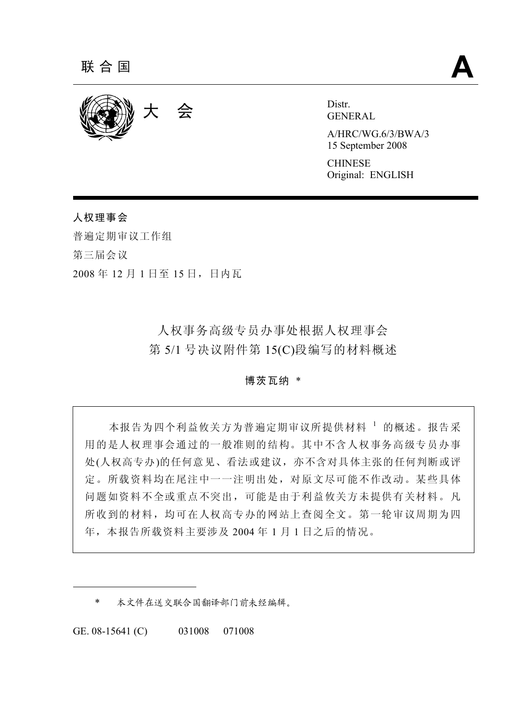

GENERAL

A/HRC/WG.6/3/BWA/3 15 September 2008

**CHINESE** Original: ENGLISH

人权理事会 普遍定期审议工作组 第三届会议 2008 年 12 月 1 日至 15 日,日内瓦

> 人权事务高级专员办事处根据人权理事会 第 5/1 号决议附件第 15(C)段编写的材料概述

## 博茨瓦纳 \*

本报告为四个利益攸关方为普遍定期审议所提供材料 1 的概述。报告采 用的是人权理事会通过的一般准则的结构。其中不含人权事务高级专员办事 处(人权高专办)的任何意见、看法或建议,亦不含对具体主张的任何判断或评 定。所载资料均在尾注中一一注明出处,对原文尽可能不作改动。某些具体 问题如资料不全或重点不突出,可能是由于利益攸关方未提供有关材料。凡 所收到的材料,均可在人权高专办的网站上查阅全文。第一轮审议周期为四 年,本报告所载资料主要涉及 2004 年 1 月 1 日之后的情况。

\* 本文件在送交联合国翻译部门前未经编辑。

GE. 08-15641 (C) 031008 071008

 $\overline{a}$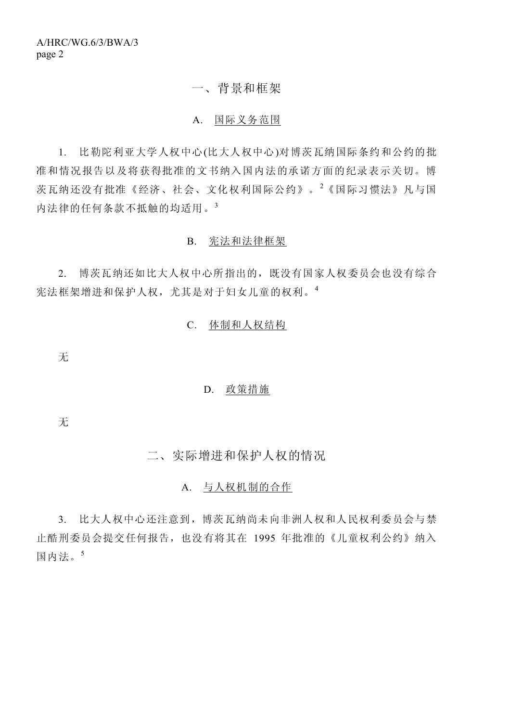## 一、背景和框架

## A. 国际义务范围

 1. 比勒陀利亚大学人权中心(比大人权中心)对博茨瓦纳国际条约和公约的批 准和情况报告以及将获得批准的文书纳入国内法的承诺方面的纪录表示关切。博 茨瓦纳还没有批准《经济、社会、文化权利国际公约》。<sup>2</sup> 《国际习惯法》凡与国 内法律的任何条款不抵触的均适用。<sup>3</sup>

## B. 宪法和法律框架

 2. 博茨瓦纳还如比大人权中心所指出的,既没有国家人权委员会也没有综合 宪法框架增进和保护人权,尤其是对于妇女儿童的权利。<sup>4</sup>

## C. 体制和人权结构

无

### D. 政策措施

无

二、实际增进和保护人权的情况

## A. 与人权机制的合作

 3. 比大人权中心还注意到,博茨瓦纳尚未向非洲人权和人民权利委员会与禁 止酷刑委员会提交任何报告,也没有将其在 1995 年批准的《儿童权利公约》纳入 国内法。<sup>5</sup>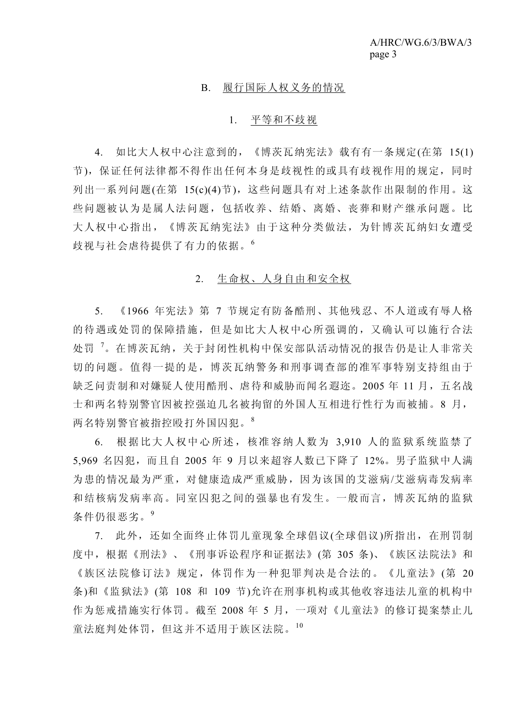#### B. 履行国际人权义务的情况

#### 1. 平等和不歧视

 4. 如比大人权中心注意到的,《博茨瓦纳宪法》载有有一条规定(在第 15(1) 节),保证任何法律都不得作出任何本身是歧视性的或具有歧视作用的规定,同时 列出一系列问题(在第 15(c)(4)节),这些问题具有对上述条款作出限制的作用。这 些问题被认为是属人法问题,包括收养、结婚、离婚、丧葬和财产继承问题。比 大人权中心指出,《博茨瓦纳宪法》由于这种分类做法,为针博茨瓦纳妇女遭受 歧视与社会虐待提供了有力的依据。<sup>6</sup>

## 2. 生命权、人身自由和安全权

 5. 《1966 年宪法》第 7 节规定有防备酷刑、其他残忍、不人道或有辱人格 的待遇或处罚的保障措施,但是如比大人权中心所强调的,又确认可以施行合法 处罚<sup>7</sup>。在博茨瓦纳,关于封闭性机构中保安部队活动情况的报告仍是让人非常关 切的问题。值得一提的是,博茨瓦纳警务和刑事调查部的准军事特别支持组由于 缺乏问责制和对嫌疑人使用酷刑、虐待和威胁而闻名遐迩。2005年11月,五名战 士和两名特别警官因被控强迫几名被拘留的外国人互相进行性行为而被捕。8 月, 两名特别警官被指控殴打外国囚犯。<sup>8</sup>

 6. 根据比大人权中心所述,核准容纳人数为 3,910 人的监狱系统监禁了 5,969 名囚犯,而且自 2005 年 9 月以来超容人数已下降了 12%。男子监狱中人满 为患的情况最为严重,对健康造成严重威胁,因为该国的艾滋病/艾滋病毒发病率 和结核病发病率高。同室囚犯之间的强暴也有发生。一般而言,博茨瓦纳的监狱 条件仍很恶劣。<sup>9</sup>

 7. 此外,还如全面终止体罚儿童现象全球倡议(全球倡议)所指出,在刑罚制 度中,根据《刑法》、《刑事诉讼程序和证据法》(第 305 条)、《族区法院法》和 《族区法院修订法》规定,体罚作为一种犯罪判决是合法的。《儿童法》(第 20 条)和《监狱法》(第 108 和 109 节)允许在刑事机构或其他收容违法儿童的机构中 作为惩戒措施实行体罚。截至 2008 年 5 月,一项对《儿童法》的修订提案禁止儿 童法庭判处体罚,但这并不适用于族区法院。<sup>10</sup>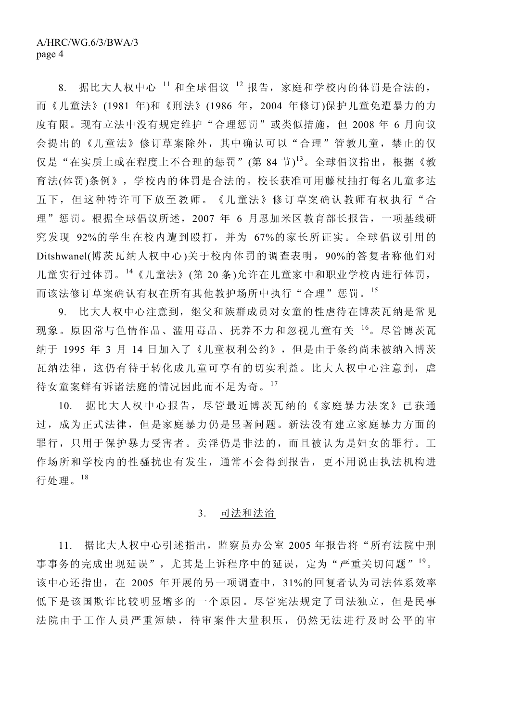8. 据比大人权中心 <sup>11</sup> 和全球倡议 <sup>12</sup> 报告,家庭和学校内的体罚是合法的, 而《儿童法》(1981 年)和《刑法》(1986 年,2004 年修订)保护儿童免遭暴力的力 度有限。现有立法中没有规定维护"合理惩罚"或类似措施,但 2008 年 6 月向议 会提出的《儿童法》修订草案除外,其中确认可以"合理"管教儿童,禁止的仅 仅是"在实质上或在程度上不合理的惩罚"(第 84 节)<sup>13</sup>。全球倡议指出,根据《教 育法(体罚)条例》,学校内的体罚是合法的。校长获准可用藤杖抽打每名儿童多达 五下,但这种特许可下放至教师。《儿童法》修订草案确认教师有权执行"合 理"惩罚。根据全球倡议所述,2007 年 6 月恩加米区教育部长报告,一项基线研 究发现 92%的学生在校内遭到殴打,并为 67%的家长所证实。全球倡议引用的 Ditshwanel(博茨瓦纳人权中心)关于校内体罚的调查表明,90%的答复者称他们对 儿童实行过体罚。<sup>14</sup>《儿童法》(第 20 条)允许在儿童家中和职业学校内进行体罚, 而该法修订草案确认有权在所有其他教护场所中执行"合理"惩罚。15

 9. 比大人权中心注意到,继父和族群成员对女童的性虐待在博茨瓦纳是常见 现象。原因常与色情作品、滥用毒品、抚养不力和忽视儿童有关 <sup>16</sup>。尽管博茨瓦 纳于 1995 年 3 月 14 日加入了《儿童权利公约》, 但是由于条约尚未被纳入博茨 瓦纳法律,这仍有待于转化成儿童可享有的切实利益。比大人权中心注意到,虐 待女童案鲜有诉诸法庭的情况因此而不足为奇。<sup>17</sup>

 10. 据比大人权中心报告,尽管最近博茨瓦纳的《家庭暴力法案》已获通 过,成为正式法律,但是家庭暴力仍是显著问题。新法没有建立家庭暴力方面的 罪行,只用于保护暴力受害者。卖淫仍是非法的,而且被认为是妇女的罪行。工 作场所和学校内的性骚扰也有发生,通常不会得到报告,更不用说由执法机构进 行处理。<sup>18</sup>

## 3. 司法和法治

 11. 据比大人权中心引述指出,监察员办公室 2005 年报告将"所有法院中刑 事事务的完成出现延误",尤其是上诉程序中的延误,定为"严重关切问题"<sup>19</sup>。 该中心还指出,在 2005 年开展的另一项调查中,31%的回复者认为司法体系效率 低下是该国欺诈比较明显增多的一个原因。尽管宪法规定了司法独立,但是民事 法院由于工作人员严重短缺,待审案件大量积压,仍然无法进行及时公平的审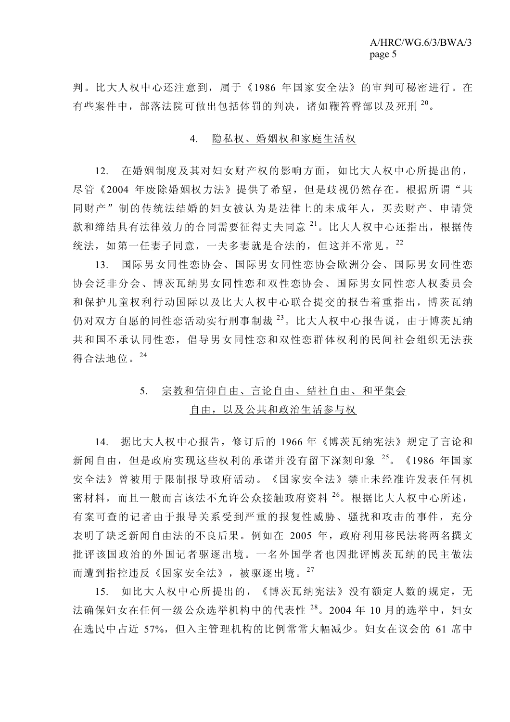判。比大人权中心还注意到,属于《1986 年国家安全法》的审判可秘密进行。在 有些案件中,部落法院可做出包括体罚的判决,诸如鞭笞臀部以及死刑 <sup>20</sup>。

## 4. 隐私权、婚姻权和家庭生活权

 12. 在婚姻制度及其对妇女财产权的影响方面,如比大人权中心所提出的, 尽管《2004 年废除婚姻权力法》提供了希望,但是歧视仍然存在。根据所谓"共 同财产"制的传统法结婚的妇女被认为是法律上的未成年人,买卖财产、申请贷 款和缔结具有法律效力的合同需要征得丈夫同意<sup>21</sup>。比大人权中心还指出,根据传 统法,如第一任妻子同意,一夫多妻就是合法的,但这并不常见。<sup>22</sup>

 13. 国际男女同性恋协会、国际男女同性恋协会欧洲分会、国际男女同性恋 协会泛非分会、博茨瓦纳男女同性恋和双性恋协会、国际男女同性恋人权委员会 和保护儿童权利行动国际以及比大人权中心联合提交的报告着重指出,博茨瓦纳 仍对双方自愿的同性恋活动实行刑事制裁 23。比大人权中心报告说,由于博茨瓦纳 共和国不承认同性恋,倡导男女同性恋和双性恋群体权利的民间社会组织无法获 得合法地位。24

# 5. 宗教和信仰自由、言论自由、结社自由、和平集会 自由,以及公共和政治生活参与权

 14. 据比大人权中心报告,修订后的 1966 年《博茨瓦纳宪法》规定了言论和 新闻自由,但是政府实现这些权利的承诺并没有留下深刻印象 <sup>25</sup>。《1986 年国家 安全法》曾被用于限制报导政府活动。《国家安全法》禁止未经准许发表任何机 密材料,而且一般而言该法不允许公众接触政府资料 <sup>26</sup>。根据比大人权中心所述, 有案可查的记者由于报导关系受到严重的报复性威胁、骚扰和攻击的事件,充分 表明了缺乏新闻自由法的不良后果。例如在 2005 年,政府利用移民法将两名撰文 批评该国政治的外国记者驱逐出境。一名外国学者也因批评博茨瓦纳的民主做法 而遭到指控违反《国家安全法》,被驱逐出境。<sup>27</sup>

 15. 如比大人权中心所提出的,《博茨瓦纳宪法》没有额定人数的规定,无 法确保妇女在任何一级公众选举机构中的代表性 28。2004年10月的选举中,妇女 在选民中占近 57%,但入主管理机构的比例常常大幅减少。妇女在议会的 61 席中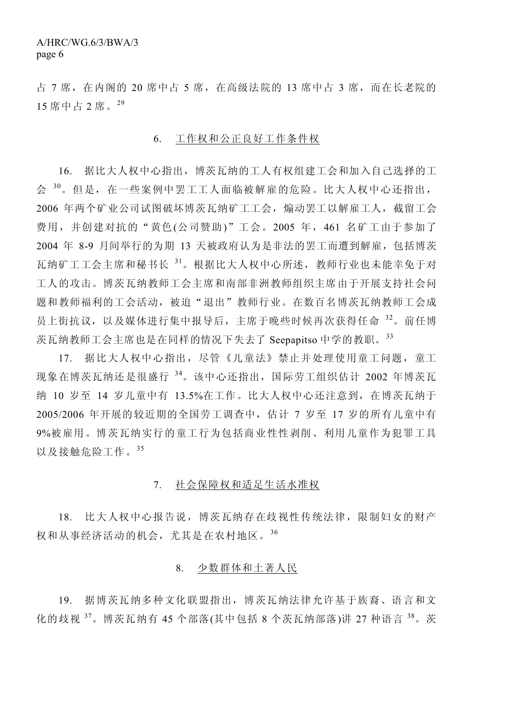占 7 席,在内阁的 20 席中占 5 席,在高级法院的 13 席中占 3 席,而在长老院的 15 席中占 2 席。<sup>29</sup>

### 6. 工作权和公正良好工作条件权

 16. 据比大人权中心指出,博茨瓦纳的工人有权组建工会和加入自己选择的工 会 30。但是, 在一些案例中罢工工人面临被解雇的危险。比大人权中心还指出, 2006 年两个矿业公司试图破坏博茨瓦纳矿工工会,煽动罢工以解雇工人,截留工会 费用,并创建对抗的"黄色(公司赞助)"工会。2005 年,461 名矿工由于参加了 2004 年 8-9 月间举行的为期 13 天被政府认为是非法的罢工而遭到解雇,包括博茨 瓦纳矿工工会主席和秘书长 <sup>31</sup>。根据比大人权中心所述,教师行业也未能幸免于对 工人的攻击。博茨瓦纳教师工会主席和南部非洲教师组织主席由于开展支持社会问 题和教师福利的工会活动,被迫"退出"教师行业。在数百名博茨瓦纳教师工会成 员上街抗议,以及媒体进行集中报导后,主席于晚些时候再次获得任命 <sup>32</sup>。前任博 茨瓦纳教师工会主席也是在同样的情况下失去了 Seepapitso 中学的教职。<sup>33</sup>

 17. 据比大人权中心指出,尽管《儿童法》禁止并处理使用童工问题,童工 现象在博茨瓦纳还是很盛行 <sup>34</sup>。该中心还指出,国际劳工组织估计 2002 年博茨瓦 纳 10 岁至 14 岁儿童中有 13.5%在工作。比大人权中心还注意到,在博茨瓦纳于 2005/2006 年开展的较近期的全国劳工调查中,估计 7 岁至 17 岁的所有儿童中有 9%被雇用。博茨瓦纳实行的童工行为包括商业性性剥削、利用儿童作为犯罪工具 以及接触危险工作。<sup>35</sup>

## 7. 社会保障权和适足生活水准权

 18. 比大人权中心报告说,博茨瓦纳存在歧视性传统法律,限制妇女的财产 权和从事经济活动的机会,尤其是在农村地区。<sup>36</sup>

## 8. 少数群体和土著人民

 19. 据博茨瓦纳多种文化联盟指出,博茨瓦纳法律允许基于族裔、语言和文 化的歧视 <sup>37</sup>。博茨瓦纳有 45 个部落(其中包括 8 个茨瓦纳部落)讲 27 种语言 <sup>38</sup>。茨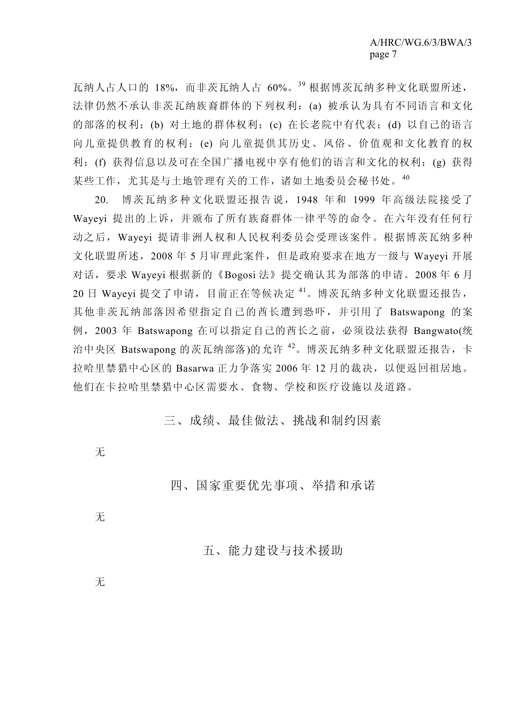瓦纳人占人口的 18%,而非茨瓦纳人占 60%。<sup>39</sup> 根据博茨瓦纳多种文化联盟所述, 法律仍然不承认非茨瓦纳族裔群体的下列权利:(a) 被承认为具有不同语言和文化 的部落的权利;(b) 对土地的群体权利;(c) 在长老院中有代表;(d) 以自己的语言 向儿童提供教育的权利;(e) 向儿童提供其历史、风俗、价值观和文化教育的权 利;(f) 获得信息以及可在全国广播电视中享有他们的语言和文化的权利;(g) 获得 某些工作,尤其是与土地管理有关的工作,诸如土地委员会秘书处。<sup>40</sup>

 20. 博茨瓦纳多种文化联盟还报告说,1948 年和 1999 年高级法院接受了 Wayeyi 提出的上诉,并颁布了所有族裔群体一律平等的命令。在六年没有任何行 动之后,Wayeyi 提请非洲人权和人民权利委员会受理该案件。根据博茨瓦纳多种 文化联盟所述, 2008年 5 月审理此案件, 但是政府要求在地方一级与 Wayeyi 开展 对话,要求 Wayeyi 根据新的《Bogosi 法》提交确认其为部落的申请。2008 年 6 月 20 日 Wayeyi 提交了申请, 目前正在等候决定 41。博茨瓦纳多种文化联盟还报告, 其他非茨瓦纳部落因希望指定自己的酋长遭到恐吓,并引用了 Batswapong 的案 例,2003 年 Batswapong 在可以指定自己的酋长之前,必须设法获得 Bangwato(统 治中央区 Batswapong 的茨瓦纳部落)的允许 42。博茨瓦纳多种文化联盟还报告, 卡 拉哈里禁猎中心区的 Basarwa 正力争落实 2006 年 12 月的裁决, 以便返回祖居地。 他们在卡拉哈里禁猎中心区需要水、食物、学校和医疗设施以及道路。

三、成绩、最佳做法、挑战和制约因素

无

四、国家重要优先事项、举措和承诺

无

五、能力建设与技术援助

无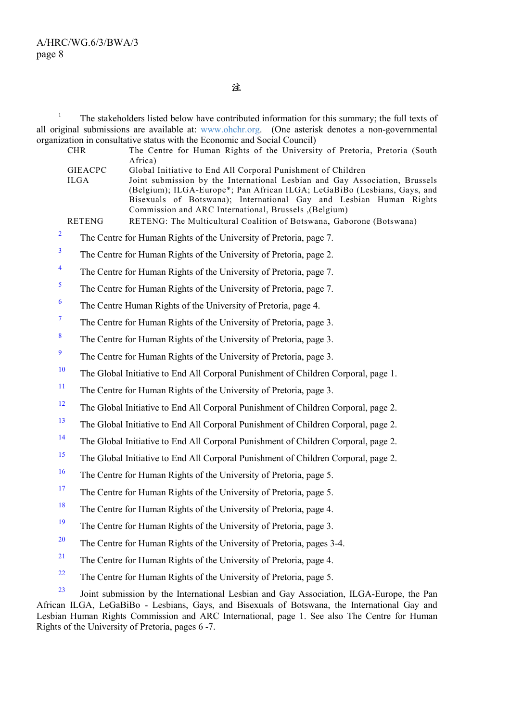注

1 The stakeholders listed below have contributed information for this summary; the full texts of all original submissions are available at: www.ohchr.org. (One asterisk denotes a non-governmental organization in consultative status with the Economic and Social Council)

|                   | $m_{\text{12}}$ in consultative status with the Economic and Social Council)<br>The Centre for Human Rights of the University of Pretoria, Pretoria (South<br><b>CHR</b>                                                                                                                                                                                                                                                                                                                     |
|-------------------|----------------------------------------------------------------------------------------------------------------------------------------------------------------------------------------------------------------------------------------------------------------------------------------------------------------------------------------------------------------------------------------------------------------------------------------------------------------------------------------------|
|                   | Africa)<br>Global Initiative to End All Corporal Punishment of Children<br><b>GIEACPC</b><br>Joint submission by the International Lesbian and Gay Association, Brussels<br><b>ILGA</b><br>(Belgium); ILGA-Europe*; Pan African ILGA; LeGaBiBo (Lesbians, Gays, and<br>Bisexuals of Botswana); International Gay and Lesbian Human Rights<br>Commission and ARC International, Brussels , (Belgium)<br><b>RETENG</b><br>RETENG: The Multicultural Coalition of Botswana, Gaborone (Botswana) |
| $\overline{c}$    | The Centre for Human Rights of the University of Pretoria, page 7.                                                                                                                                                                                                                                                                                                                                                                                                                           |
| 3                 | The Centre for Human Rights of the University of Pretoria, page 2.                                                                                                                                                                                                                                                                                                                                                                                                                           |
| 4                 | The Centre for Human Rights of the University of Pretoria, page 7.                                                                                                                                                                                                                                                                                                                                                                                                                           |
| 5                 | The Centre for Human Rights of the University of Pretoria, page 7.                                                                                                                                                                                                                                                                                                                                                                                                                           |
| 6                 | The Centre Human Rights of the University of Pretoria, page 4.                                                                                                                                                                                                                                                                                                                                                                                                                               |
| $\overline{\tau}$ | The Centre for Human Rights of the University of Pretoria, page 3.                                                                                                                                                                                                                                                                                                                                                                                                                           |
| 8                 | The Centre for Human Rights of the University of Pretoria, page 3.                                                                                                                                                                                                                                                                                                                                                                                                                           |
| $\overline{9}$    | The Centre for Human Rights of the University of Pretoria, page 3.                                                                                                                                                                                                                                                                                                                                                                                                                           |
| 10                | The Global Initiative to End All Corporal Punishment of Children Corporal, page 1.                                                                                                                                                                                                                                                                                                                                                                                                           |
| 11                | The Centre for Human Rights of the University of Pretoria, page 3.                                                                                                                                                                                                                                                                                                                                                                                                                           |
| 12                | The Global Initiative to End All Corporal Punishment of Children Corporal, page 2.                                                                                                                                                                                                                                                                                                                                                                                                           |
| 13                | The Global Initiative to End All Corporal Punishment of Children Corporal, page 2.                                                                                                                                                                                                                                                                                                                                                                                                           |
| 14                | The Global Initiative to End All Corporal Punishment of Children Corporal, page 2.                                                                                                                                                                                                                                                                                                                                                                                                           |
| 15                | The Global Initiative to End All Corporal Punishment of Children Corporal, page 2.                                                                                                                                                                                                                                                                                                                                                                                                           |
| 16                | The Centre for Human Rights of the University of Pretoria, page 5.                                                                                                                                                                                                                                                                                                                                                                                                                           |
| 17                | The Centre for Human Rights of the University of Pretoria, page 5.                                                                                                                                                                                                                                                                                                                                                                                                                           |
| 18                | The Centre for Human Rights of the University of Pretoria, page 4.                                                                                                                                                                                                                                                                                                                                                                                                                           |
| 19                | The Centre for Human Rights of the University of Pretoria, page 3.                                                                                                                                                                                                                                                                                                                                                                                                                           |
| 20                | The Centre for Human Rights of the University of Pretoria, pages 3-4.                                                                                                                                                                                                                                                                                                                                                                                                                        |
| 21                | The Centre for Human Rights of the University of Pretoria, page 4.                                                                                                                                                                                                                                                                                                                                                                                                                           |
| 22                | The Centre for Human Rights of the University of Pretoria, page 5.                                                                                                                                                                                                                                                                                                                                                                                                                           |
| 23                | Joint submission by the International Lesbian and Gay Association, ILGA-Europe, the Pan                                                                                                                                                                                                                                                                                                                                                                                                      |

African ILGA, LeGaBiBo - Lesbians, Gays, and Bisexuals of Botswana, the International Gay and Lesbian Human Rights Commission and ARC International, page 1. See also The Centre for Human Rights of the University of Pretoria, pages 6 -7.